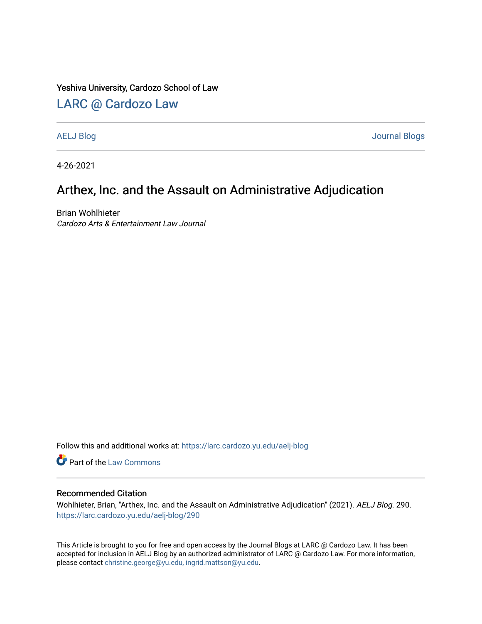### Yeshiva University, Cardozo School of Law

## [LARC @ Cardozo Law](https://larc.cardozo.yu.edu/)

[AELJ Blog](https://larc.cardozo.yu.edu/aelj-blog) [Journal Blogs](https://larc.cardozo.yu.edu/journal-blogs) 

4-26-2021

## Arthex, Inc. and the Assault on Administrative Adjudication

Brian Wohlhieter Cardozo Arts & Entertainment Law Journal

Follow this and additional works at: [https://larc.cardozo.yu.edu/aelj-blog](https://larc.cardozo.yu.edu/aelj-blog?utm_source=larc.cardozo.yu.edu%2Faelj-blog%2F290&utm_medium=PDF&utm_campaign=PDFCoverPages) 

Part of the [Law Commons](http://network.bepress.com/hgg/discipline/578?utm_source=larc.cardozo.yu.edu%2Faelj-blog%2F290&utm_medium=PDF&utm_campaign=PDFCoverPages)

#### Recommended Citation

Wohlhieter, Brian, "Arthex, Inc. and the Assault on Administrative Adjudication" (2021). AELJ Blog. 290. [https://larc.cardozo.yu.edu/aelj-blog/290](https://larc.cardozo.yu.edu/aelj-blog/290?utm_source=larc.cardozo.yu.edu%2Faelj-blog%2F290&utm_medium=PDF&utm_campaign=PDFCoverPages) 

This Article is brought to you for free and open access by the Journal Blogs at LARC @ Cardozo Law. It has been accepted for inclusion in AELJ Blog by an authorized administrator of LARC @ Cardozo Law. For more information, please contact [christine.george@yu.edu, ingrid.mattson@yu.edu.](mailto:christine.george@yu.edu,%20ingrid.mattson@yu.edu)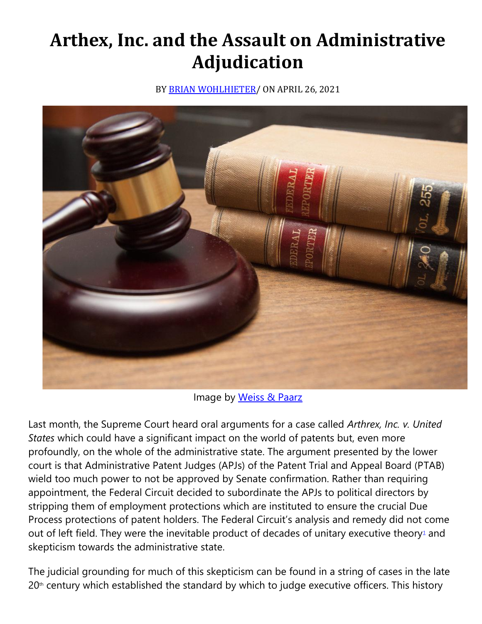# **Arthex, Inc. and the Assault on Administrative Adjudication**

BY [BRIAN WOHLHIETER/](https://cardozoaelj.com/author/brian-wohlhieter/) ON APRIL 26, 2021



Image by [Weiss & Paarz](https://www.weisspaarz.com/)

Last month, the Supreme Court heard oral arguments for a case called *Arthrex, Inc. v. United States* which could have a significant impact on the world of patents but, even more profoundly, on the whole of the administrative state. The argument presented by the lower court is that Administrative Patent Judges (APJs) of the Patent Trial and Appeal Board (PTAB) wield too much power to not be approved by Senate confirmation. Rather than requiring appointment, the Federal Circuit decided to subordinate the APJs to political directors by stripping them of employment protections which are instituted to ensure the crucial Due Process protections of patent holders. The Federal Circuit's analysis and remedy did not come out of left field. The[y](https://cardozoaelj.com/2021/04/26/arthex-inc-and-the-assault-on-administrative-adjudication/#easy-footnote-bottom-1-6938) were the inevitable product of decades of unitary executive theory<sup>1</sup> and skepticism towards the administrative state.

The judicial grounding for much of this skepticism can be found in a string of cases in the late  $20<sup>th</sup>$  century which established the standard by which to judge executive officers. This history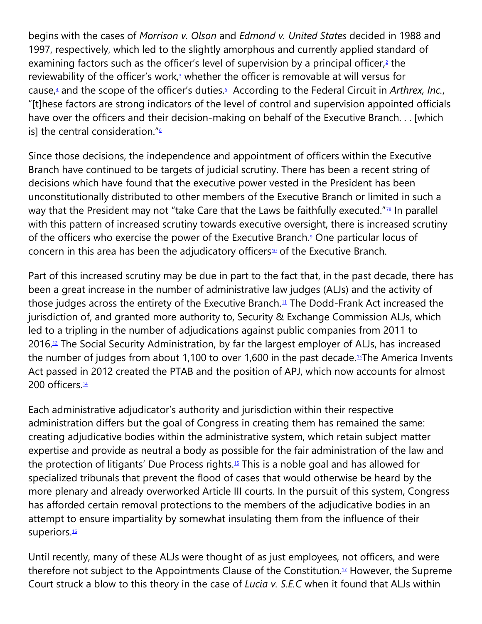begins with the cases of *Morrison v. Olson* and *Edmond v. United States* decided in 1988 and 1997, respectively, which led to the slightly amorphous and currently applied standard of examining factors such as the officer's level of supervision by a principal officer[,](https://cardozoaelj.com/2021/04/26/arthex-inc-and-the-assault-on-administrative-adjudication/#easy-footnote-bottom-2-6938) $2$  the reviewability of the officer's work[,](https://cardozoaelj.com/2021/04/26/arthex-inc-and-the-assault-on-administrative-adjudication/#easy-footnote-bottom-3-6938)<sup>3</sup> whether the officer is removable at will versus for cause[,](https://cardozoaelj.com/2021/04/26/arthex-inc-and-the-assault-on-administrative-adjudication/#easy-footnote-bottom-4-6938)<sup>4</sup> and the scope of the officer's duties[.](https://cardozoaelj.com/2021/04/26/arthex-inc-and-the-assault-on-administrative-adjudication/#easy-footnote-bottom-5-6938)<sup>5</sup> According to the Federal Circuit in *Arthrex, Inc.*, "[t]hese factors are strong indicators of the level of control and supervision appointed officials have over the officers and their decision-making on behalf of the Executive Branch. . . [which is] the central consideration.["](https://cardozoaelj.com/2021/04/26/arthex-inc-and-the-assault-on-administrative-adjudication/#easy-footnote-bottom-6-6938) $6$ 

Since those decisions, the independence and appointment of officers within the Executive Branch have continued to be targets of judicial scrutiny. There has been a recent string of decisions which have found that the executive power vested in the President has been unconstitutionally distributed to other members of the Executive Branch or limited in such a way that the President may not "take Care that the Laws be faithfully executed."<sup>2[8](https://cardozoaelj.com/2021/04/26/arthex-inc-and-the-assault-on-administrative-adjudication/#easy-footnote-bottom-8-6938)</sup> In parallel with this pattern of increased scrutiny towards executive oversight, there is increased scrutiny of the officers who exercise the power of the Executive Branch[.](https://cardozoaelj.com/2021/04/26/arthex-inc-and-the-assault-on-administrative-adjudication/#easy-footnote-bottom-9-6938)<sup>9</sup> One particular locus of concern in this area has been the adjudicatory officers<sup>[10](https://cardozoaelj.com/2021/04/26/arthex-inc-and-the-assault-on-administrative-adjudication/#easy-footnote-bottom-10-6938)</sup> of the Executive Branch.

Part of this increased scrutiny may be due in part to the fact that, in the past decade, there has been a great increase in the number of administrative law judges (ALJs) and the activity of those judges across the entirety of the Executive Branch.<sup>[11](https://cardozoaelj.com/2021/04/26/arthex-inc-and-the-assault-on-administrative-adjudication/#easy-footnote-bottom-11-6938)</sup> The Dodd-Frank Act increased the jurisdiction of, and granted more authority to, Security & Exchange Commission ALJs, which led to a tripling in the number of adjudications against public companies from 2011 to 2016.[12](https://cardozoaelj.com/2021/04/26/arthex-inc-and-the-assault-on-administrative-adjudication/#easy-footnote-bottom-12-6938) The Social Security Administration, by far the largest employer of ALJs, has increased the number of judges from about 1,100 to over 1,600 in the past decade.<sup>[13](https://cardozoaelj.com/2021/04/26/arthex-inc-and-the-assault-on-administrative-adjudication/#easy-footnote-bottom-13-6938)</sup>The America Invents Act passed in 2012 created the PTAB and the position of APJ, which now accounts for almost 200 officers.<sup>[14](https://cardozoaelj.com/2021/04/26/arthex-inc-and-the-assault-on-administrative-adjudication/#easy-footnote-bottom-14-6938)</sup>

Each administrative adjudicator's authority and jurisdiction within their respective administration differs but the goal of Congress in creating them has remained the same: creating adjudicative bodies within the administrative system, which retain subject matter expertise and provide as neutral a body as possible for the fair administration of the law and the protection of litigants' Due Process rights.[15](https://cardozoaelj.com/2021/04/26/arthex-inc-and-the-assault-on-administrative-adjudication/#easy-footnote-bottom-15-6938) This is a noble goal and has allowed for specialized tribunals that prevent the flood of cases that would otherwise be heard by the more plenary and already overworked Article III courts. In the pursuit of this system, Congress has afforded certain removal protections to the members of the adjudicative bodies in an attempt to ensure impartiality by somewhat insulating them from the influence of their superiors.<sup>[16](https://cardozoaelj.com/2021/04/26/arthex-inc-and-the-assault-on-administrative-adjudication/#easy-footnote-bottom-16-6938)</sup>

Until recently, many of these ALJs were thought of as just employees, not officers, and were therefore not subject to the Appointments Clause of the Constitution.<sup>[17](https://cardozoaelj.com/2021/04/26/arthex-inc-and-the-assault-on-administrative-adjudication/#easy-footnote-bottom-17-6938)</sup> However, the Supreme Court struck a blow to this theory in the case of *Lucia v. S.E.C* when it found that ALJs within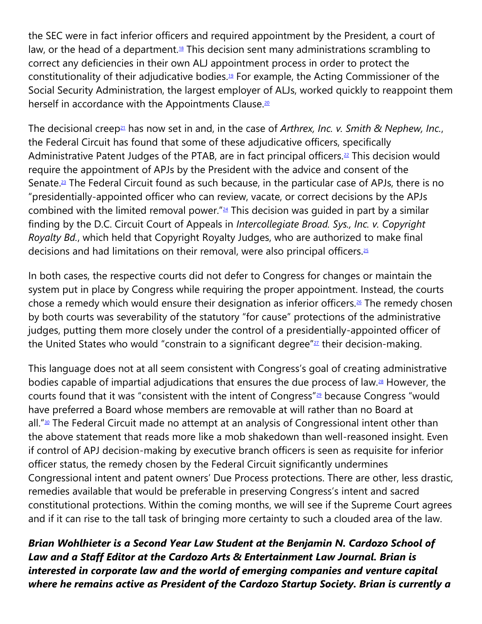the SEC were in fact inferior officers and required appointment by the President, a court of law, or the head of a department.<sup>[18](https://cardozoaelj.com/2021/04/26/arthex-inc-and-the-assault-on-administrative-adjudication/#easy-footnote-bottom-18-6938)</sup> This decision sent many administrations scrambling to correct any deficiencies in their own ALJ appointment process in order to protect the constitutionality of their adjudicative bodies.[19](https://cardozoaelj.com/2021/04/26/arthex-inc-and-the-assault-on-administrative-adjudication/#easy-footnote-bottom-19-6938) For example, the Acting Commissioner of the Social Security Administration, the largest employer of ALJs, worked quickly to reappoint them herself in accordance with the Appointments Clause.<sup>[20](https://cardozoaelj.com/2021/04/26/arthex-inc-and-the-assault-on-administrative-adjudication/#easy-footnote-bottom-20-6938)</sup>

The decisional creep[21](https://cardozoaelj.com/2021/04/26/arthex-inc-and-the-assault-on-administrative-adjudication/#easy-footnote-bottom-21-6938) has now set in and, in the case of *Arthrex, Inc. v. Smith & Nephew, Inc.*, the Federal Circuit has found that some of these adjudicative officers, specifically Administrative Patent Judges of the PTAB, are in fact principal officers. $22$  This decision would require the appointment of APJs by the President with the advice and consent of the Senate.<sup>[23](https://cardozoaelj.com/2021/04/26/arthex-inc-and-the-assault-on-administrative-adjudication/#easy-footnote-bottom-23-6938)</sup> The Federal Circuit found as such because, in the particular case of APJs, there is no "presidentially-appointed officer who can review, vacate, or correct decisions by the APJs combined with the limited removal power." $24$  This decision was quided in part by a similar finding by the D.C. Circuit Court of Appeals in *Intercollegiate Broad. Sys., Inc. v. Copyright Royalty Bd.*, which held that Copyright Royalty Judges, who are authorized to make final decisions and had limitations on their removal, were also principal officers. $25$ 

In both cases, the respective courts did not defer to Congress for changes or maintain the system put in place by Congress while requiring the proper appointment. Instead, the courts chose a remedy which would ensure their designation as inferior officers.<sup>[26](https://cardozoaelj.com/2021/04/26/arthex-inc-and-the-assault-on-administrative-adjudication/#easy-footnote-bottom-26-6938)</sup> The remedy chosen by both courts was severability of the statutory "for cause" protections of the administrative judges, putting them more closely under the control of a presidentially-appointed officer of the United States who would "constrain to a significant degree" $27$  their decision-making.

This language does not at all seem consistent with Congress's goal of creating administrative bodies capable of impartial adjudications that ensures the due process of law.[28](https://cardozoaelj.com/2021/04/26/arthex-inc-and-the-assault-on-administrative-adjudication/#easy-footnote-bottom-28-6938) However, the courts found that it was "consistent with the intent of Congress"[29](https://cardozoaelj.com/2021/04/26/arthex-inc-and-the-assault-on-administrative-adjudication/#easy-footnote-bottom-29-6938) because Congress "would have preferred a Board whose members are removable at will rather than no Board at all."<sup>[30](https://cardozoaelj.com/2021/04/26/arthex-inc-and-the-assault-on-administrative-adjudication/#easy-footnote-bottom-30-6938)</sup> The Federal Circuit made no attempt at an analysis of Congressional intent other than the above statement that reads more like a mob shakedown than well-reasoned insight. Even if control of APJ decision-making by executive branch officers is seen as requisite for inferior officer status, the remedy chosen by the Federal Circuit significantly undermines Congressional intent and patent owners' Due Process protections. There are other, less drastic, remedies available that would be preferable in preserving Congress's intent and sacred constitutional protections. Within the coming months, we will see if the Supreme Court agrees and if it can rise to the tall task of bringing more certainty to such a clouded area of the law.

*Brian Wohlhieter is a Second Year Law Student at the Benjamin N. Cardozo School of Law and a Staff Editor at the Cardozo Arts & Entertainment Law Journal. Brian is interested in corporate law and the world of emerging companies and venture capital where he remains active as President of the Cardozo Startup Society. Brian is currently a*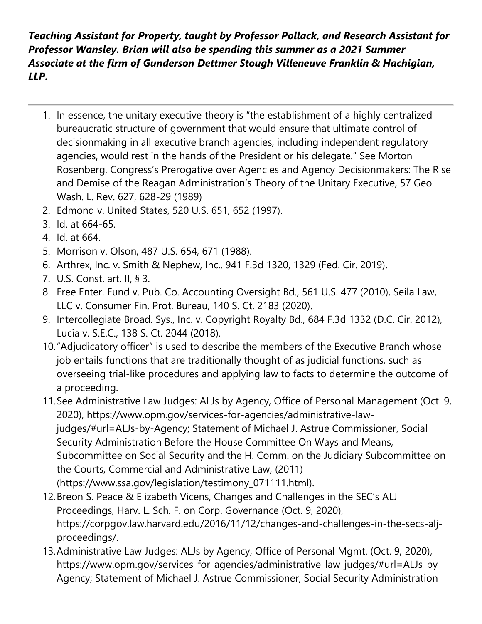*Teaching Assistant for Property, taught by Professor Pollack, and Research Assistant for Professor Wansley. Brian will also be spending this summer as a 2021 Summer Associate at the firm of Gunderson Dettmer Stough Villeneuve Franklin & Hachigian, LLP.*

- 1. In essence, the unitary executive theory is "the establishment of a highly centralized bureaucratic structure of government that would ensure that ultimate control of decisionmaking in all executive branch agencies, including independent regulatory agencies, would rest in the hands of the President or his delegate." See Morton Rosenberg, Congress's Prerogative over Agencies and Agency Decisionmakers: The Rise and Demise of the Reagan Administration's Theory of the Unitary Executive, 57 Geo. Wash. L. Rev. 627, 628-29 (1989)
- 2. Edmond v. United States, 520 U.S. 651, 652 (1997).
- 3. Id. at 664-65.
- 4. Id. at 664.
- 5. Morrison v. Olson, 487 U.S. 654, 671 (1988).
- 6. Arthrex, Inc. v. Smith & Nephew, Inc., 941 F.3d 1320, 1329 (Fed. Cir. 2019).
- 7. U.S. Const. art. II, § 3.
- 8. Free Enter. Fund v. Pub. Co. Accounting Oversight Bd., 561 U.S. 477 (2010), Seila Law, LLC v. Consumer Fin. Prot. Bureau, 140 S. Ct. 2183 (2020).
- 9. Intercollegiate Broad. Sys., Inc. v. Copyright Royalty Bd., 684 F.3d 1332 (D.C. Cir. 2012), Lucia v. S.E.C., 138 S. Ct. 2044 (2018).
- 10."Adjudicatory officer" is used to describe the members of the Executive Branch whose job entails functions that are traditionally thought of as judicial functions, such as overseeing trial-like procedures and applying law to facts to determine the outcome of a proceeding.
- 11.See Administrative Law Judges: ALJs by Agency, Office of Personal Management (Oct. 9, 2020), https://www.opm.gov/services-for-agencies/administrative-lawjudges/#url=ALJs-by-Agency; Statement of Michael J. Astrue Commissioner, Social Security Administration Before the House Committee On Ways and Means, Subcommittee on Social Security and the H. Comm. on the Judiciary Subcommittee on the Courts, Commercial and Administrative Law, (2011) (https://www.ssa.gov/legislation/testimony\_071111.html).
- 12.Breon S. Peace & Elizabeth Vicens, Changes and Challenges in the SEC's ALJ Proceedings, Harv. L. Sch. F. on Corp. Governance (Oct. 9, 2020), https://corpgov.law.harvard.edu/2016/11/12/changes-and-challenges-in-the-secs-aljproceedings/.
- 13.Administrative Law Judges: ALJs by Agency, Office of Personal Mgmt. (Oct. 9, 2020), https://www.opm.gov/services-for-agencies/administrative-law-judges/#url=ALJs-by-Agency; Statement of Michael J. Astrue Commissioner, Social Security Administration